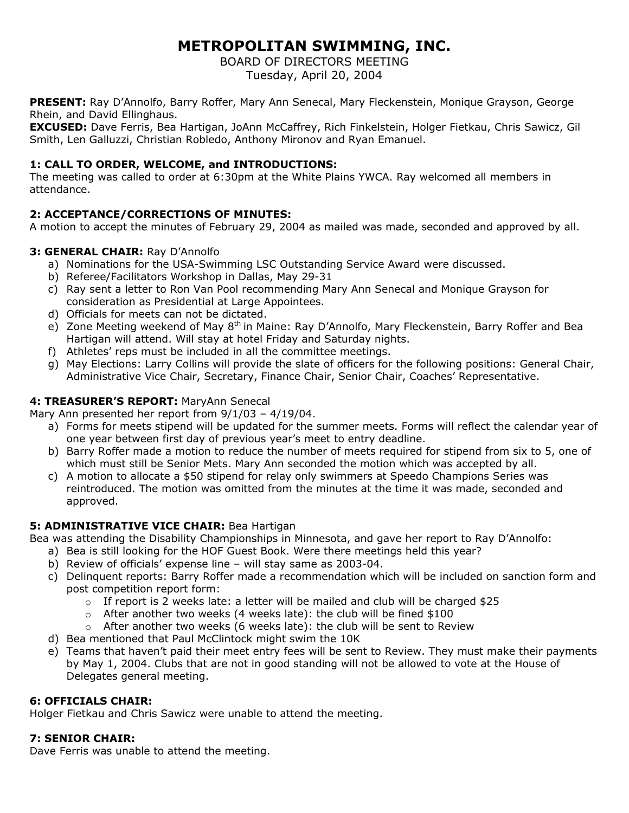# **METROPOLITAN SWIMMING, INC.**

BOARD OF DIRECTORS MEETING

Tuesday, April 20, 2004

**PRESENT:** Ray D'Annolfo, Barry Roffer, Mary Ann Senecal, Mary Fleckenstein, Monique Grayson, George Rhein, and David Ellinghaus.

**EXCUSED:** Dave Ferris, Bea Hartigan, JoAnn McCaffrey, Rich Finkelstein, Holger Fietkau, Chris Sawicz, Gil Smith, Len Galluzzi, Christian Robledo, Anthony Mironov and Ryan Emanuel.

## **1: CALL TO ORDER, WELCOME, and INTRODUCTIONS:**

The meeting was called to order at 6:30pm at the White Plains YWCA. Ray welcomed all members in attendance.

# **2: ACCEPTANCE/CORRECTIONS OF MINUTES:**

A motion to accept the minutes of February 29, 2004 as mailed was made, seconded and approved by all.

## **3: GENERAL CHAIR:** Ray D'Annolfo

- a) Nominations for the USA-Swimming LSC Outstanding Service Award were discussed.
- b) Referee/Facilitators Workshop in Dallas, May 29-31
- c) Ray sent a letter to Ron Van Pool recommending Mary Ann Senecal and Monique Grayson for consideration as Presidential at Large Appointees.
- d) Officials for meets can not be dictated.
- e) Zone Meeting weekend of May 8<sup>th</sup> in Maine: Ray D'Annolfo, Mary Fleckenstein, Barry Roffer and Bea Hartigan will attend. Will stay at hotel Friday and Saturday nights.
- f) Athletes' reps must be included in all the committee meetings.
- g) May Elections: Larry Collins will provide the slate of officers for the following positions: General Chair, Administrative Vice Chair, Secretary, Finance Chair, Senior Chair, Coaches' Representative.

## **4: TREASURER'S REPORT:** MaryAnn Senecal

Mary Ann presented her report from 9/1/03 – 4/19/04.

- a) Forms for meets stipend will be updated for the summer meets. Forms will reflect the calendar year of one year between first day of previous year's meet to entry deadline.
- b) Barry Roffer made a motion to reduce the number of meets required for stipend from six to 5, one of which must still be Senior Mets. Mary Ann seconded the motion which was accepted by all.
- c) A motion to allocate a \$50 stipend for relay only swimmers at Speedo Champions Series was reintroduced. The motion was omitted from the minutes at the time it was made, seconded and approved.

# **5: ADMINISTRATIVE VICE CHAIR: Bea Hartigan**

Bea was attending the Disability Championships in Minnesota, and gave her report to Ray D'Annolfo:

- a) Bea is still looking for the HOF Guest Book. Were there meetings held this year?
- b) Review of officials' expense line will stay same as 2003-04.
- c) Delinquent reports: Barry Roffer made a recommendation which will be included on sanction form and post competition report form:
	- $\circ$  If report is 2 weeks late: a letter will be mailed and club will be charged \$25
	- $\circ$  After another two weeks (4 weeks late): the club will be fined \$100
	- $\circ$  After another two weeks (6 weeks late): the club will be sent to Review
- d) Bea mentioned that Paul McClintock might swim the 10K
- e) Teams that haven't paid their meet entry fees will be sent to Review. They must make their payments by May 1, 2004. Clubs that are not in good standing will not be allowed to vote at the House of Delegates general meeting.

# **6: OFFICIALS CHAIR:**

Holger Fietkau and Chris Sawicz were unable to attend the meeting.

## **7: SENIOR CHAIR:**

Dave Ferris was unable to attend the meeting.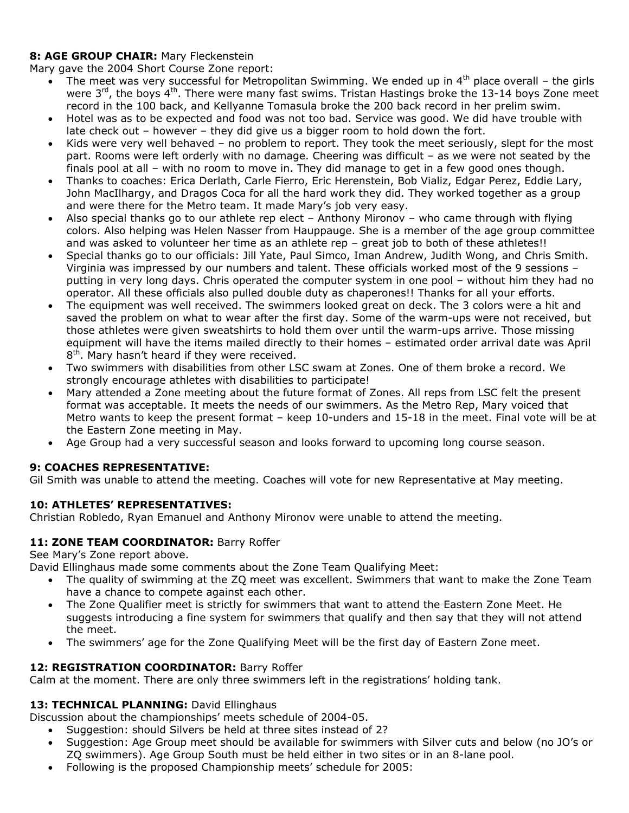# **8: AGE GROUP CHAIR:** Mary Fleckenstein

Mary gave the 2004 Short Course Zone report:

- The meet was very successful for Metropolitan Swimming. We ended up in  $4<sup>th</sup>$  place overall the girls were  $3<sup>rd</sup>$ , the boys 4<sup>th</sup>. There were many fast swims. Tristan Hastings broke the 13-14 boys Zone meet record in the 100 back, and Kellyanne Tomasula broke the 200 back record in her prelim swim.
- Hotel was as to be expected and food was not too bad. Service was good. We did have trouble with late check out – however – they did give us a bigger room to hold down the fort.
- Kids were very well behaved no problem to report. They took the meet seriously, slept for the most part. Rooms were left orderly with no damage. Cheering was difficult – as we were not seated by the finals pool at all – with no room to move in. They did manage to get in a few good ones though.
- Thanks to coaches: Erica Derlath, Carle Fierro, Eric Herenstein, Bob Vializ, Edgar Perez, Eddie Lary, John MacIlhargy, and Dragos Coca for all the hard work they did. They worked together as a group and were there for the Metro team. It made Mary's job very easy.
- Also special thanks go to our athlete rep elect Anthony Mironov who came through with flying colors. Also helping was Helen Nasser from Hauppauge. She is a member of the age group committee and was asked to volunteer her time as an athlete rep - great job to both of these athletes!!
- Special thanks go to our officials: Jill Yate, Paul Simco, Iman Andrew, Judith Wong, and Chris Smith. Virginia was impressed by our numbers and talent. These officials worked most of the 9 sessions – putting in very long days. Chris operated the computer system in one pool – without him they had no operator. All these officials also pulled double duty as chaperones!! Thanks for all your efforts.
- The equipment was well received. The swimmers looked great on deck. The 3 colors were a hit and saved the problem on what to wear after the first day. Some of the warm-ups were not received, but those athletes were given sweatshirts to hold them over until the warm-ups arrive. Those missing equipment will have the items mailed directly to their homes – estimated order arrival date was April  $8<sup>th</sup>$ . Mary hasn't heard if they were received.
- Two swimmers with disabilities from other LSC swam at Zones. One of them broke a record. We strongly encourage athletes with disabilities to participate!
- Mary attended a Zone meeting about the future format of Zones. All reps from LSC felt the present format was acceptable. It meets the needs of our swimmers. As the Metro Rep, Mary voiced that Metro wants to keep the present format – keep 10-unders and 15-18 in the meet. Final vote will be at the Eastern Zone meeting in May.
- Age Group had a very successful season and looks forward to upcoming long course season.

# **9: COACHES REPRESENTATIVE:**

Gil Smith was unable to attend the meeting. Coaches will vote for new Representative at May meeting.

## **10: ATHLETES' REPRESENTATIVES:**

Christian Robledo, Ryan Emanuel and Anthony Mironov were unable to attend the meeting.

## 11: **ZONE TEAM COORDINATOR:** Barry Roffer

See Mary's Zone report above.

David Ellinghaus made some comments about the Zone Team Qualifying Meet:

- The quality of swimming at the ZQ meet was excellent. Swimmers that want to make the Zone Team have a chance to compete against each other.
- The Zone Qualifier meet is strictly for swimmers that want to attend the Eastern Zone Meet. He suggests introducing a fine system for swimmers that qualify and then say that they will not attend the meet.
- The swimmers' age for the Zone Qualifying Meet will be the first day of Eastern Zone meet.

## 12: REGISTRATION COORDINATOR: Barry Roffer

Calm at the moment. There are only three swimmers left in the registrations' holding tank.

## 13: TECHNICAL PLANNING: David Ellinghaus

Discussion about the championships' meets schedule of 2004-05.

- Suggestion: should Silvers be held at three sites instead of 2?
- Suggestion: Age Group meet should be available for swimmers with Silver cuts and below (no JO's or ZQ swimmers). Age Group South must be held either in two sites or in an 8-lane pool.
- Following is the proposed Championship meets' schedule for 2005: